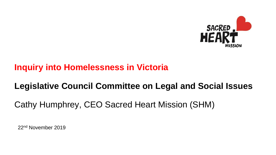

## **Inquiry into Homelessness in Victoria**

# **Legislative Council Committee on Legal and Social Issues**

Cathy Humphrey, CEO Sacred Heart Mission (SHM)

22nd November 2019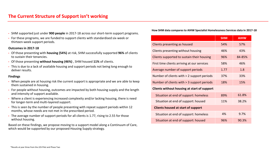- SHM supported just under **900 people** in 2017-18 across our short-term support programs.
- For these programs, we are funded to support clients with standardised six-week or thirteen-week support periods.

#### **Outcomes in 2017-18**

- Of those presenting with **housing (54%)** at risk, SHM successfully supported **96%** of clients to sustain their tenancies.
- Of those presenting **without housing (46%)** , SHM housed **11%** of clients.
- This is due to a lack of available housing and support periods not being long enough to deliver results.

#### **Findings**

- When people are at housing risk the current support is appropriate and we are able to keep them sustained in housing.
- For people without housing, outcomes are impacted by both housing supply and the length and intensity of support available.
- Where a client is experiencing increased complexity and/or lacking housing, there is need for longer-term and multi-layered support.
- This is seen by the number of people presenting with repeat support periods within 12 months, whose needs are not met in the prescribed period.
- The average number of support periods for all clients is 1.77, rising to 2.55 for those without housing.

Based on these findings, we propose moving to a support model along a Continuum of Care, which would be supported by our proposed Housing Supply strategy.

#### **How SHM data compares to AIHW Specialist Homelessness Services data in 2017-18**

|                                             | <b>SHM</b> | <b>AIHW</b> |  |
|---------------------------------------------|------------|-------------|--|
| Clients presenting as housed                | 54%        | 57%         |  |
| Clients presenting without housing          | 46%        | 43%         |  |
| Clients supported to sustain their housing  | 96%        | 84-85%      |  |
| First time clients arriving at our services | 58%        | 46%         |  |
| Average number of support periods           | 1.77       | 1.8         |  |
| Number of clients with > 2 support periods  | 37%        | 33%         |  |
| Number of clients with > 3 support periods  | 18%        | 15%         |  |
| Clients without housing at start of support |            |             |  |
| Situation at end of support: homeless       | 89%        | 61.8%       |  |
| Situation at end of support: housed         | 11%        | 38.2%       |  |
| <b>Clients housed at start of support</b>   |            |             |  |
| Situation at end of support: homeless       | 4%         | 9.7%        |  |
| Situation at end of support: housed         | 96%        | 90.3%       |  |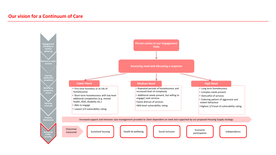